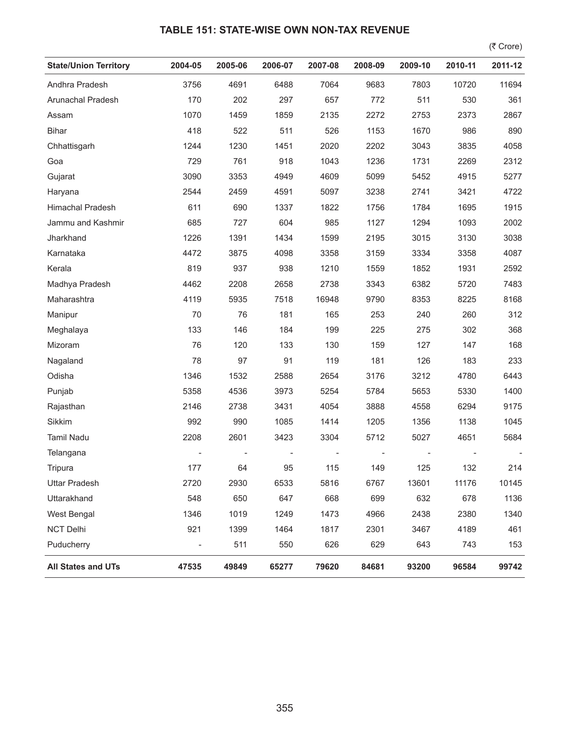## **TABLE 151: STATE-WISE OWN NON-TAX REVENUE**

 $($ ₹ Crore)

| <b>State/Union Territory</b> | 2004-05 | 2005-06 | 2006-07 | 2007-08 | 2008-09 | 2009-10 | 2010-11 | 2011-12 |
|------------------------------|---------|---------|---------|---------|---------|---------|---------|---------|
| Andhra Pradesh               | 3756    | 4691    | 6488    | 7064    | 9683    | 7803    | 10720   | 11694   |
| Arunachal Pradesh            | 170     | 202     | 297     | 657     | 772     | 511     | 530     | 361     |
| Assam                        | 1070    | 1459    | 1859    | 2135    | 2272    | 2753    | 2373    | 2867    |
| <b>Bihar</b>                 | 418     | 522     | 511     | 526     | 1153    | 1670    | 986     | 890     |
| Chhattisgarh                 | 1244    | 1230    | 1451    | 2020    | 2202    | 3043    | 3835    | 4058    |
| Goa                          | 729     | 761     | 918     | 1043    | 1236    | 1731    | 2269    | 2312    |
| Gujarat                      | 3090    | 3353    | 4949    | 4609    | 5099    | 5452    | 4915    | 5277    |
| Haryana                      | 2544    | 2459    | 4591    | 5097    | 3238    | 2741    | 3421    | 4722    |
| Himachal Pradesh             | 611     | 690     | 1337    | 1822    | 1756    | 1784    | 1695    | 1915    |
| Jammu and Kashmir            | 685     | 727     | 604     | 985     | 1127    | 1294    | 1093    | 2002    |
| Jharkhand                    | 1226    | 1391    | 1434    | 1599    | 2195    | 3015    | 3130    | 3038    |
| Karnataka                    | 4472    | 3875    | 4098    | 3358    | 3159    | 3334    | 3358    | 4087    |
| Kerala                       | 819     | 937     | 938     | 1210    | 1559    | 1852    | 1931    | 2592    |
| Madhya Pradesh               | 4462    | 2208    | 2658    | 2738    | 3343    | 6382    | 5720    | 7483    |
| Maharashtra                  | 4119    | 5935    | 7518    | 16948   | 9790    | 8353    | 8225    | 8168    |
| Manipur                      | 70      | 76      | 181     | 165     | 253     | 240     | 260     | 312     |
| Meghalaya                    | 133     | 146     | 184     | 199     | 225     | 275     | 302     | 368     |
| Mizoram                      | 76      | 120     | 133     | 130     | 159     | 127     | 147     | 168     |
| Nagaland                     | 78      | 97      | 91      | 119     | 181     | 126     | 183     | 233     |
| Odisha                       | 1346    | 1532    | 2588    | 2654    | 3176    | 3212    | 4780    | 6443    |
| Punjab                       | 5358    | 4536    | 3973    | 5254    | 5784    | 5653    | 5330    | 1400    |
| Rajasthan                    | 2146    | 2738    | 3431    | 4054    | 3888    | 4558    | 6294    | 9175    |
| Sikkim                       | 992     | 990     | 1085    | 1414    | 1205    | 1356    | 1138    | 1045    |
| <b>Tamil Nadu</b>            | 2208    | 2601    | 3423    | 3304    | 5712    | 5027    | 4651    | 5684    |
| Telangana                    |         |         |         |         |         |         |         |         |
| Tripura                      | 177     | 64      | 95      | 115     | 149     | 125     | 132     | 214     |
| <b>Uttar Pradesh</b>         | 2720    | 2930    | 6533    | 5816    | 6767    | 13601   | 11176   | 10145   |
| Uttarakhand                  | 548     | 650     | 647     | 668     | 699     | 632     | 678     | 1136    |
| West Bengal                  | 1346    | 1019    | 1249    | 1473    | 4966    | 2438    | 2380    | 1340    |
| <b>NCT Delhi</b>             | 921     | 1399    | 1464    | 1817    | 2301    | 3467    | 4189    | 461     |
| Puducherry                   |         | 511     | 550     | 626     | 629     | 643     | 743     | 153     |
| <b>All States and UTs</b>    | 47535   | 49849   | 65277   | 79620   | 84681   | 93200   | 96584   | 99742   |